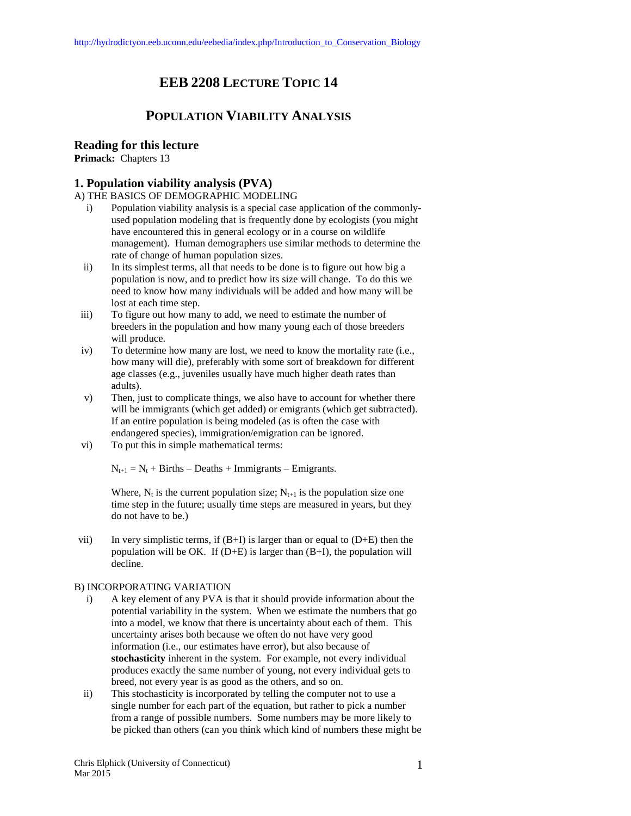# **EEB 2208 LECTURE TOPIC 14**

## **POPULATION VIABILITY ANALYSIS**

## **Reading for this lecture**

**Primack:** Chapters 13

## **1. Population viability analysis (PVA)**

A) THE BASICS OF DEMOGRAPHIC MODELING

- i) Population viability analysis is a special case application of the commonlyused population modeling that is frequently done by ecologists (you might have encountered this in general ecology or in a course on wildlife management). Human demographers use similar methods to determine the rate of change of human population sizes.
- ii) In its simplest terms, all that needs to be done is to figure out how big a population is now, and to predict how its size will change. To do this we need to know how many individuals will be added and how many will be lost at each time step.
- iii) To figure out how many to add, we need to estimate the number of breeders in the population and how many young each of those breeders will produce.
- iv) To determine how many are lost, we need to know the mortality rate (i.e., how many will die), preferably with some sort of breakdown for different age classes (e.g., juveniles usually have much higher death rates than adults).
- v) Then, just to complicate things, we also have to account for whether there will be immigrants (which get added) or emigrants (which get subtracted). If an entire population is being modeled (as is often the case with endangered species), immigration/emigration can be ignored.
- vi) To put this in simple mathematical terms:

 $N_{t+1} = N_t + \text{Births} - \text{Deaths} + \text{Immigrams} - \text{Emigrams}.$ 

Where,  $N_t$  is the current population size;  $N_{t+1}$  is the population size one time step in the future; usually time steps are measured in years, but they do not have to be.)

vii) In very simplistic terms, if  $(B+I)$  is larger than or equal to  $(D+E)$  then the population will be OK. If  $(D+E)$  is larger than  $(B+I)$ , the population will decline.

### B) INCORPORATING VARIATION

- i) A key element of any PVA is that it should provide information about the potential variability in the system. When we estimate the numbers that go into a model, we know that there is uncertainty about each of them. This uncertainty arises both because we often do not have very good information (i.e., our estimates have error), but also because of **stochasticity** inherent in the system. For example, not every individual produces exactly the same number of young, not every individual gets to breed, not every year is as good as the others, and so on.
- ii) This stochasticity is incorporated by telling the computer not to use a single number for each part of the equation, but rather to pick a number from a range of possible numbers. Some numbers may be more likely to be picked than others (can you think which kind of numbers these might be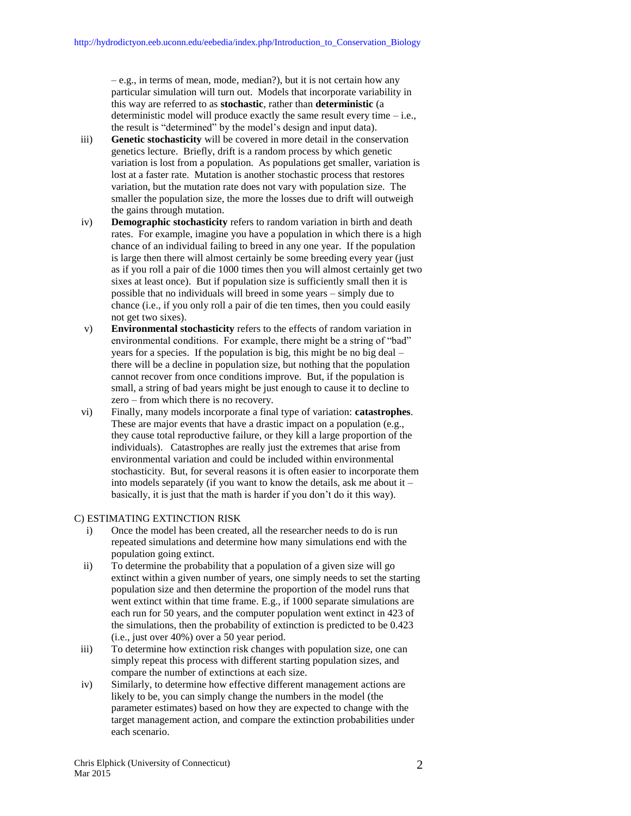– e.g., in terms of mean, mode, median?), but it is not certain how any particular simulation will turn out. Models that incorporate variability in this way are referred to as **stochastic**, rather than **deterministic** (a deterministic model will produce exactly the same result every time – i.e., the result is "determined" by the model's design and input data).

- iii) **Genetic stochasticity** will be covered in more detail in the conservation genetics lecture. Briefly, drift is a random process by which genetic variation is lost from a population. As populations get smaller, variation is lost at a faster rate. Mutation is another stochastic process that restores variation, but the mutation rate does not vary with population size. The smaller the population size, the more the losses due to drift will outweigh the gains through mutation.
- iv) **Demographic stochasticity** refers to random variation in birth and death rates. For example, imagine you have a population in which there is a high chance of an individual failing to breed in any one year. If the population is large then there will almost certainly be some breeding every year (just as if you roll a pair of die 1000 times then you will almost certainly get two sixes at least once). But if population size is sufficiently small then it is possible that no individuals will breed in some years – simply due to chance (i.e., if you only roll a pair of die ten times, then you could easily not get two sixes).
- v) **Environmental stochasticity** refers to the effects of random variation in environmental conditions. For example, there might be a string of "bad" years for a species. If the population is big, this might be no big deal – there will be a decline in population size, but nothing that the population cannot recover from once conditions improve. But, if the population is small, a string of bad years might be just enough to cause it to decline to zero – from which there is no recovery.
- vi) Finally, many models incorporate a final type of variation: **catastrophes**. These are major events that have a drastic impact on a population (e.g., they cause total reproductive failure, or they kill a large proportion of the individuals). Catastrophes are really just the extremes that arise from environmental variation and could be included within environmental stochasticity. But, for several reasons it is often easier to incorporate them into models separately (if you want to know the details, ask me about it – basically, it is just that the math is harder if you don't do it this way).

#### C) ESTIMATING EXTINCTION RISK

- i) Once the model has been created, all the researcher needs to do is run repeated simulations and determine how many simulations end with the population going extinct.
- ii) To determine the probability that a population of a given size will go extinct within a given number of years, one simply needs to set the starting population size and then determine the proportion of the model runs that went extinct within that time frame. E.g., if 1000 separate simulations are each run for 50 years, and the computer population went extinct in 423 of the simulations, then the probability of extinction is predicted to be 0.423 (i.e., just over 40%) over a 50 year period.
- iii) To determine how extinction risk changes with population size, one can simply repeat this process with different starting population sizes, and compare the number of extinctions at each size.
- iv) Similarly, to determine how effective different management actions are likely to be, you can simply change the numbers in the model (the parameter estimates) based on how they are expected to change with the target management action, and compare the extinction probabilities under each scenario.